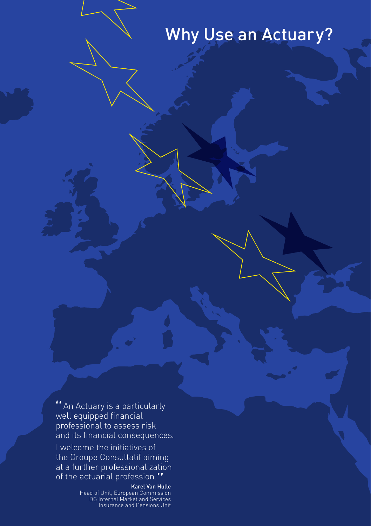# Why Use an Actuary?

"An Actuary is a particularly well equipped financial professional to assess risk and its financial consequences.

I welcome the initiatives of the Groupe Consultatif aiming at a further professionalization of the actuarial profession."<br>Karel Van Hulle<br>Head of Unit, European Commission

DG Internal Market and Services Insurance and Pensions Unit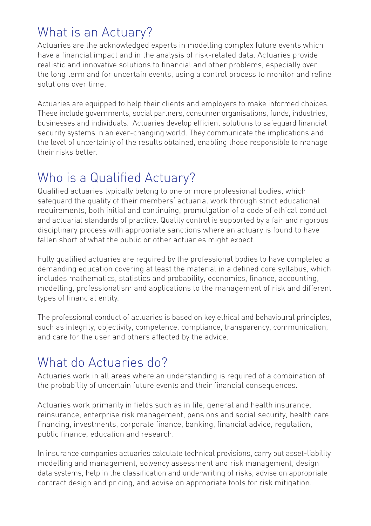### What is an Actuary?

Actuaries are the acknowledged experts in modelling complex future events which have a financial impact and in the analysis of risk-related data. Actuaries provide realistic and innovative solutions to financial and other problems, especially over the long term and for uncertain events, using a control process to monitor and refine solutions over time.

Actuaries are equipped to help their clients and employers to make informed choices. These include governments, social partners, consumer organisations, funds, industries, businesses and individuals. Actuaries develop efficient solutions to safeguard financial security systems in an ever-changing world. They communicate the implications and the level of uncertainty of the results obtained, enabling those responsible to manage their risks better.

## Who is a Qualified Actuary?

Qualified actuaries typically belong to one or more professional bodies, which safeguard the quality of their members' actuarial work through strict educational requirements, both initial and continuing, promulgation of a code of ethical conduct and actuarial standards of practice. Quality control is supported by a fair and rigorous disciplinary process with appropriate sanctions where an actuary is found to have fallen short of what the public or other actuaries might expect.

Fully qualified actuaries are required by the professional bodies to have completed a demanding education covering at least the material in a defined core syllabus, which includes mathematics, statistics and probability, economics, finance, accounting, modelling, professionalism and applications to the management of risk and different types of financial entity.

The professional conduct of actuaries is based on key ethical and behavioural principles, such as integrity, objectivity, competence, compliance, transparency, communication, and care for the user and others affected by the advice.

### What do Actuaries do?

Actuaries work in all areas where an understanding is required of a combination of the probability of uncertain future events and their financial consequences.

Actuaries work primarily in fields such as in life, general and health insurance, reinsurance, enterprise risk management, pensions and social security, health care financing, investments, corporate finance, banking, financial advice, regulation, public finance, education and research.

In insurance companies actuaries calculate technical provisions, carry out asset-liability modelling and management, solvency assessment and risk management, design data systems, help in the classification and underwriting of risks, advise on appropriate contract design and pricing, and advise on appropriate tools for risk mitigation.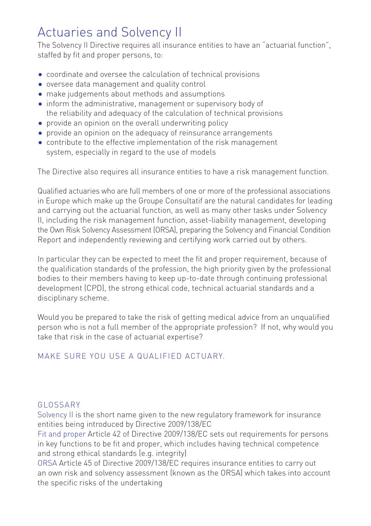### Actuaries and Solvency II

The Solvency II Directive requires all insurance entities to have an "actuarial function", staffed by fit and proper persons, to:

- coordinate and oversee the calculation of technical provisions
- oversee data management and quality control
- make judgements about methods and assumptions
- inform the administrative, management or supervisory body of the reliability and adequacy of the calculation of technical provisions
- provide an opinion on the overall underwriting policy
- provide an opinion on the adequacy of reinsurance arrangements
- contribute to the effective implementation of the risk management system, especially in regard to the use of models

The Directive also requires all insurance entities to have a risk management function.

Qualified actuaries who are full members of one or more of the professional associations in Europe which make up the Groupe Consultatif are the natural candidates for leading and carrying out the actuarial function, as well as many other tasks under Solvency II, including the risk management function, asset-liability management, developing the Own Risk Solvency Assessment (ORSA), preparing the Solvency and Financial Condition Report and independently reviewing and certifying work carried out by others.

In particular they can be expected to meet the fit and proper requirement, because of the qualification standards of the profession, the high priority given by the professional bodies to their members having to keep up-to-date through continuing professional development (CPD), the strong ethical code, technical actuarial standards and a disciplinary scheme.

Would you be prepared to take the risk of getting medical advice from an unqualified person who is not a full member of the appropriate profession? If not, why would you take that risk in the case of actuarial expertise?

#### Make sure you use a qualified actuary.

#### GLOSSARY

Solvency II is the short name given to the new regulatory framework for insurance entities being introduced by Directive 2009/138/EC

Fit and proper Article 42 of Directive 2009/138/EC sets out requirements for persons in key functions to be fit and proper, which includes having technical competence and strong ethical standards (e.g. integrity)

ORSA Article 45 of Directive 2009/138/EC requires insurance entities to carry out an own risk and solvency assessment (known as the ORSA) which takes into account the specific risks of the undertaking